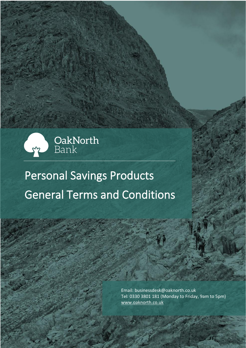

# General Terms and Conditions Personal Savings Products

OakNorth Bank - Personal Savings Products – General Terms and Conditions Page 1

Email: businessdesk@oaknorth.co.uk Tel: 0330 3801 181 (Monday to Friday, 9am to 5pm) [www.oaknorth.co.uk](file:///C:/Users/sanjay.khurana/AppData/Local/Microsoft/Windows/INetCache/Content.Outlook/I0MHLQZ1/www.oaknorth.co.uk)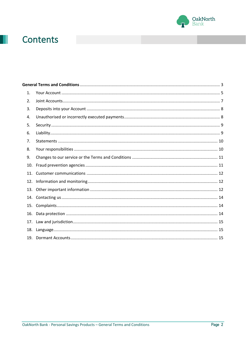

## Contents

| 12. |
|-----|
| 13. |
| 14. |
| 15. |
| 16. |
|     |
| 18. |
| 19. |
|     |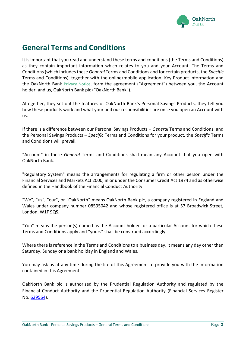

### <span id="page-2-0"></span>**General Terms and Conditions**

It is important that you read and understand these terms and conditions (the Terms and Conditions) as they contain important information which relates to you and your Account. The Terms and Conditions (which includes these *General* Terms and Conditions and for certain products, the *Specific* Terms and Conditions), together with the online/mobile application, Key Product Information and the OakNorth Bank [Privacy Notice](https://www.oaknorth.co.uk/privacy-notice/privacy-notice-deposit-products/), form the agreement ("Agreement") between you, the Account holder, and us, OakNorth Bank plc ("OakNorth Bank").

Altogether, they set out the features of OakNorth Bank's Personal Savings Products, they tell you how these products work and what your and our responsibilities are once you open an Account with us.

If there is a difference between our Personal Savings Products – *General* Terms and Conditions; and the Personal Savings Products – *Specific* Terms and Conditions for your product, the *Specific* Terms and Conditions will prevail.

"Account" in these *General* Terms and Conditions shall mean any Account that you open with OakNorth Bank.

"Regulatory System" means the arrangements for regulating a firm or other person under the Financial Services and Markets Act 2000, in or under the Consumer Credit Act 1974 and as otherwise defined in the Handbook of the Financial Conduct Authority.

"We", "us", "our", or "OakNorth" means OakNorth Bank plc, a company registered in England and Wales under company number 08595042 and whose registered office is at 57 Broadwick Street, London, W1F 9QS.

"You" means the person(s) named as the Account holder for a particular Account for which these Terms and Conditions apply and "yours" shall be construed accordingly.

Where there is reference in the Terms and Conditions to a business day, it means any day other than Saturday, Sunday or a bank holiday in England and Wales.

You may ask us at any time during the life of this Agreement to provide you with the information contained in this Agreement.

OakNorth Bank plc is authorised by the Prudential Regulation Authority and regulated by the Financial Conduct Authority and the Prudential Regulation Authority (Financial Services Register No. [629564\)](https://register.fca.org.uk/ShPo_FirmDetailsPage?id=001b000000aQtn8AAC).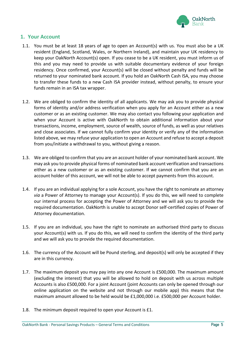

#### <span id="page-3-0"></span>**1. Your Account**

- 1.1. You must be at least 18 years of age to open an Account(s) with us. You must also be a UK resident (England, Scotland, Wales, or Northern Ireland), and maintain your UK residency to keep your OakNorth Account(s) open. If you cease to be a UK resident, you must inform us of this and you may need to provide us with suitable documentary evidence of your foreign residency. Once confirmed, your Account(s) will be closed without penalty and funds will be returned to your nominated bank account. If you hold an OakNorth Cash ISA, you may choose to transfer these funds to a new Cash ISA provider instead, without penalty, to ensure your funds remain in an ISA tax wrapper.
- 1.2. We are obliged to confirm the identity of all applicants. We may ask you to provide physical forms of identity and/or address verification when you apply for an Account either as a new customer or as an existing customer. We may also contact you following your application and when your Account is active with OakNorth to obtain additional information about your transactions, income, employment, source of wealth, source of funds, as well as your relatives and close associates. If we cannot fully confirm your identity or verify any of the information listed above, we may refuse your application to open an Account and refuse to accept a deposit from you/initiate a withdrawal to you, without giving a reason.
- 1.3. We are obliged to confirm that you are an account holder of your nominated bank account. We may ask you to provide physical forms of nominated bank account verification and transactions either as a new customer or as an existing customer. If we cannot confirm that you are an account holder of this account, we will not be able to accept payments from this account.
- 1.4. If you are an individual applying for a sole Account, you have the right to nominate an attorney *via* a Power of Attorney to manage your Account(s). If you do this, we will need to complete our internal process for accepting the Power of Attorney and we will ask you to provide the required documentation. OakNorth is unable to accept Donor self-certified copies of Power of Attorney documentation.
- 1.5. If you are an individual, you have the right to nominate an authorised third party to discuss your Account(s) with us. If you do this, we will need to confirm the identity of the third party and we will ask you to provide the required documentation.
- 1.6. The currency of the Account will be Pound sterling, and deposit(s) will only be accepted if they are in this currency.
- 1.7. The maximum deposit you may pay into any one Account is £500,000. The maximum amount (excluding the interest) that you will be allowed to hold on deposit with us across multiple Accounts is also £500,000. For a joint Account (joint Accounts can only be opened through our online application on the website and not through our mobile app) this means that the maximum amount allowed to be held would be £1,000,000 i.e. £500,000 per Account holder.
- 1.8. The minimum deposit required to open your Account is £1.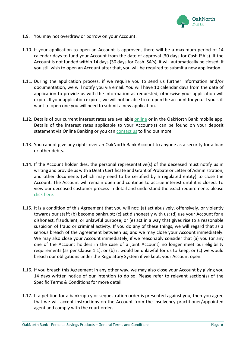

- 1.9. You may not overdraw or borrow on your Account.
- 1.10. If your application to open an Account is approved, there will be a maximum period of 14 calendar days to fund your Account from the date of approval (30 days for Cash ISA's). If the Account is not funded within 14 days (30 days for Cash ISA's), it will automatically be closed. If you still wish to open an Account after that, you will be required to submit a new application.
- 1.11. During the application process, if we require you to send us further information and/or documentation, we will notify you via email. You will have 10 calendar days from the date of application to provide us with the information as requested, otherwise your application will expire. If your application expires, we will not be able to re-open the account for you. If you still want to open one you will need to submit a new application.
- 1.12. Details of our current interest rates are available [online](https://www.oaknorth.co.uk/) or in the OakNorth Bank mobile app. Details of the interest rates applicable to your Account(s) can be found on your deposit statement via Online Banking or you can [contact us](https://www.oaknorth.co.uk/resources/get-in-touch/) to find out more.
- 1.13. You cannot give any rights over an OakNorth Bank Account to anyone as a security for a loan or other debts.
- 1.14. If the Account holder dies, the personal representative(s) of the deceased must notify us in writing and provide us with a Death Certificate and Grant of Probate or Letter of Administration, and other documents (which may need to be certified by a regulated entity) to close the Account. The Account will remain open and continue to accrue interest until it is closed. To view our deceased customer process in detail and understand the exact requirements please [click here.](https://www.oaknorth.co.uk/deceased-customer-process/)
- 1.15. It is a condition of this Agreement that you will not: (a) act abusively, offensively, or violently towards our staff; (b) become bankrupt; (c) act dishonestly with us; (d) use your Account for a dishonest, fraudulent, or unlawful purpose; or (e) act in a way that gives rise to a reasonable suspicion of fraud or criminal activity. If you do any of these things, we will regard that as a serious breach of the Agreement between us; and we may close your Account immediately. We may also close your Account immediately, if we reasonably consider that (a) you (or any one of the Account holders in the case of a joint Account) no longer meet our eligibility requirements (as per Clause 1.1); or (b) it would be unlawful for us to keep; or (c) we would breach our obligations under the Regulatory System if we kept, your Account open.
- 1.16. If you breach this Agreement in any other way, we may also close your Account by giving you 14 days written notice of our intention to do so. Please refer to relevant section(s) of the Specific Terms & Conditions for more detail.
- 1.17. If a petition for a bankruptcy or sequestration order is presented against you, then you agree that we will accept instructions on the Account from the insolvency practitioner/appointed agent and comply with the court order.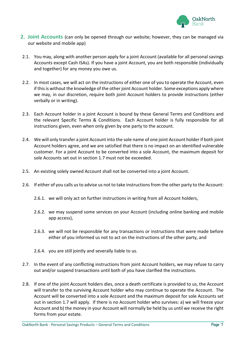

- <span id="page-5-0"></span>**2. Joint Accounts** (can only be opened through our website; however, they can be managed via our website and mobile app)
- 2.1. You may, along with another person apply for a joint Account (available for all personal savings Accounts except Cash ISAs). If you have a joint Account, you are both responsible (individually and together) for any money you owe us.
- 2.2. In most cases, we will act on the instructions of either one of you to operate the Account, even if this is without the knowledge of the other joint Account holder. Some exceptions apply where we may, in our discretion, require both joint Account holders to provide instructions (either verbally or in writing).
- 2.3. Each Account holder in a joint Account is bound by these General Terms and Conditions and the relevant Specific Terms & Conditions. Each Account holder is fully responsible for all instructions given, even when only given by one party to the account.
- 2.4. We will only transfer a joint Account into the sole name of one joint Account holder if both joint Account holders agree, and we are satisfied that there is no impact on an identified vulnerable customer. For a joint Account to be converted into a sole Account, the maximum deposit for sole Accounts set out in section 1.7 must not be exceeded.
- 2.5. An existing solely owned Account shall not be converted into a joint Account.
- 2.6. If either of you calls us to advise us not to take instructions from the other party to the Account:
	- 2.6.1. we will only act on further instructions in writing from all Account holders,
	- 2.6.2. we may suspend some services on your Account (including online banking and mobile app access),
	- 2.6.3. we will not be responsible for any transactions or instructions that were made before either of you informed us not to act on the instructions of the other party, and
	- 2.6.4. you are still jointly and severally liable to us.
- 2.7. In the event of any conflicting instructions from joint Account holders, we may refuse to carry out and/or suspend transactions until both of you have clarified the instructions.
- 2.8. If one of the joint Account holders dies, once a death certificate is provided to us, the Account will transfer to the surviving Account holder who may continue to operate the Account. The Account will be converted into a sole Account and the maximum deposit for sole Accounts set out in section 1.7 will apply. If there is no Account holder who survives: a) we will freeze your Account and b) the money in your Account will normally be held by us until we receive the right forms from your estate.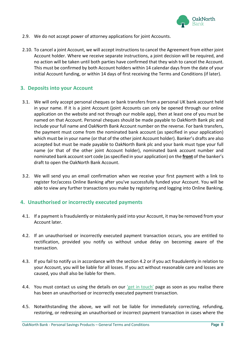

- 2.9. We do not accept power of attorney applications for joint Accounts.
- 2.10. To cancel a joint Account, we will accept instructions to cancel the Agreement from either joint Account holder. Where we receive separate instructions, a joint decision will be required, and no action will be taken until both parties have confirmed that they wish to cancel the Account. This must be confirmed by both Account holders within 14 calendar days from the date of your initial Account funding, or within 14 days of first receiving the Terms and Conditions (if later).

#### <span id="page-6-0"></span>**3. Deposits into your Account**

- 3.1. We will only accept personal cheques or bank transfers from a personal UK bank account held in your name. If it is a joint Account (joint Accounts can only be opened through our online application on the website and not through our mobile app), then at least one of you must be named on that Account. Personal cheques should be made payable to OakNorth Bank plc and include your full name and OakNorth Bank Account number on the reverse. For bank transfers, the payment must come from the nominated bank account (as specified in your application) which must be in your name (or that of the other joint Account holder). Banker's drafts are also accepted but must be made payable to OakNorth Bank plc and your bank must type your full name (or that of the other joint Account holder), nominated bank account number and nominated bank account sort code (as specified in your application) on the **front** of the banker's draft to open the OakNorth Bank Account.
- 3.2. We will send you an email confirmation when we receive your first payment with a link to register for/access Online Banking after you've successfully funded your Account. You will be able to view any further transactions you make by registering and logging into Online Banking.

#### <span id="page-6-1"></span>**4. Unauthorised or incorrectly executed payments**

- 4.1. If a payment is fraudulently or mistakenly paid into your Account, it may be removed from your Account later.
- 4.2. If an unauthorised or incorrectly executed payment transaction occurs, you are entitled to rectification, provided you notify us without undue delay on becoming aware of the transaction.
- 4.3. If you fail to notify us in accordance with the section 4.2 or if you act fraudulently in relation to your Account, you will be liable for all losses. If you act without reasonable care and losses are caused, you shall also be liable for them.
- 4.4. You must contact us using the details on our ['get in touch'](https://www.oaknorth.co.uk/resources/get-in-touch/) page as soon as you realise there has been an unauthorised or incorrectly executed payment transaction.
- 4.5. Notwithstanding the above, we will not be liable for immediately correcting, refunding, restoring, or redressing an unauthorised or incorrect payment transaction in cases where the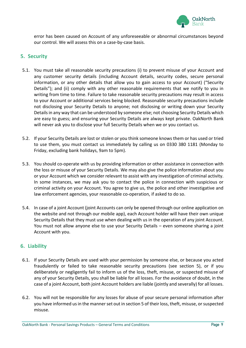

error has been caused on Account of any unforeseeable or abnormal circumstances beyond our control. We will assess this on a case-by-case basis.

#### <span id="page-7-0"></span>**5. Security**

- 5.1. You must take all reasonable security precautions (i) to prevent misuse of your Account and any customer security details (including Account details, security codes, secure personal information, or any other details that allow you to gain access to your Account) ("Security Details"); and (ii) comply with any other reasonable requirements that we notify to you in writing from time to time. Failure to take reasonable security precautions may result in access to your Account or additional services being blocked. Reasonable security precautions include not disclosing your Security Details to anyone; not disclosing or writing down your Security Details in any way that can be understood by someone else; not choosing Security Details which are easy to guess; and ensuring your Security Details are always kept private. OakNorth Bank will never ask you to disclose your full Security Details when we or you contact us.
- 5.2. If your Security Details are lost or stolen or you think someone knows them or has used or tried to use them, you must contact us immediately by calling us on 0330 380 1181 (Monday to Friday, excluding bank holidays, 9am to 5pm).
- 5.3. You should co-operate with us by providing information or other assistance in connection with the loss or misuse of your Security Details. We may also give the police information about you or your Account which we consider relevant to assist with any investigation of criminal activity. In some instances, we may ask you to contact the police in connection with suspicious or criminal activity on your Account. You agree to give us, the police and other investigative and law enforcement agencies, your reasonable co-operation, if asked to do so.
- 5.4. In case of a joint Account (joint Accounts can only be opened through our online application on the website and not through our mobile app), each Account holder will have their own unique Security Details that they must use when dealing with us in the operation of any joint Account. You must not allow anyone else to use your Security Details – even someone sharing a joint Account with you.

#### <span id="page-7-1"></span>**6. Liability**

- 6.1. If your Security Details are used with your permission by someone else, or because you acted fraudulently or failed to take reasonable security precautions (see section 5), or if you deliberately or negligently fail to inform us of the loss, theft, misuse, or suspected misuse of any of your Security Details, you shall be liable for all losses. For the avoidance of doubt, in the case of a joint Account, both joint Account holders are liable (jointly and severally) for all losses.
- 6.2. You will not be responsible for any losses for abuse of your secure personal information after you have informed us in the manner set out in section 5 of their loss, theft, misuse, or suspected misuse.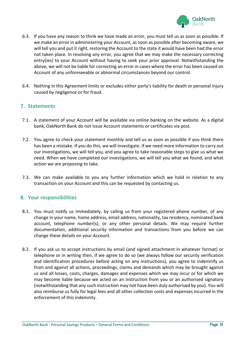

- 6.3. If you have any reason to think we have made an error, you must tell us as soon as possible. If we make an error in administering your Account, as soon as possible after becoming aware, we will tell you and put it right, restoring the Account to the state it would have been had the error not taken place. In resolving any error, you agree that we may make the necessary correcting entry(ies) to your Account without having to seek your prior approval. Notwithstanding the above, we will not be liable for correcting an error in cases where the error has been caused on Account of any unforeseeable or abnormal circumstances beyond our control.
- 6.4. Nothing in this Agreement limits or excludes either party's liability for death or personal injury caused by negligence or for fraud.

#### <span id="page-8-0"></span>**7. Statements**

- 7.1. A statement of your Account will be available via online banking on the website. As a digital bank, OakNorth Bank do not issue Account statements or certificates via post.
- 7.2. You agree to check your statement monthly and tell us as soon as possible if you think there has been a mistake. If you do this, we will investigate. If we need more information to carry out our investigations, we will tell you, and you agree to take reasonable steps to give us what we need. When we have completed our investigations, we will tell you what we found, and what action we are proposing to take.
- 7.3. We can make available to you any further information which we hold in relation to any transaction on your Account and this can be requested by contacting us.

#### <span id="page-8-1"></span>**8. Your responsibilities**

- 8.1. You must notify us immediately, by calling us from your registered phone number, of any change in your name, home address, email address, nationality, tax residency, nominated bank account, telephone number(s), or any other personal details. We may require further documentation, additional security information and transactions from you before we can change these details on your Account.
- 8.2. If you ask us to accept instructions by email (and signed attachment in whatever format) or telephone or in writing then, if we agree to do so (we always follow our security verification and identification procedures before acting on any instructions), you agree to indemnify us from and against all actions, proceedings, claims and demands which may be brought against us and all losses, costs, charges, damages and expenses which we may incur or for which we may become liable because we acted on an instruction from you or an authorised signatory (notwithstanding that any such instruction may not have been duly authorised by you). You will also reimburse us fully for legal fees and all other collection costs and expenses incurred in the enforcement of this indemnity.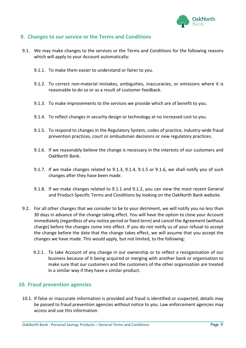

#### <span id="page-9-0"></span>**9. Changes to our service or the Terms and Conditions**

- 9.1. We may make changes to the services or the Terms and Conditions for the following reasons which will apply to your Account automatically:
	- 9.1.1. To make them easier to understand or fairer to you.
	- 9.1.2. To correct non-material mistakes, ambiguities, inaccuracies, or omissions where it is reasonable to do so or as a result of customer feedback.
	- 9.1.3. To make improvements to the services we provide which are of benefit to you.
	- 9.1.4. To reflect changes in security design or technology at no increased cost to you.
	- 9.1.5. To respond to changes in the Regulatory System, codes of practice, industry-wide fraud prevention practices, court or ombudsman decisions or new regulatory practices.
	- 9.1.6. If we reasonably believe the change is necessary in the interests of our customers and OakNorth Bank.
	- 9.1.7. If we make changes related to 9.1.3, 9.1.4, 9.1.5 or 9.1.6, we shall notify you of such changes after they have been made.
	- 9.1.8. If we make changes related to 9.1.1 and 9.1.2, you can view the most recent General and Product-Specific Terms and Conditions by looking on the OakNorth Bank website.
- 9.2. For all other changes that we consider to be to your detriment, we will notify you no less than 30 days in advance of the change taking effect. You will have the option to close your Account immediately (regardless of any notice period or fixed term) and cancel the Agreement (without charge) before the changes come into effect. If you do not notify us of your refusal to accept the change before the date that the change takes effect, we will assume that you accept the changes we have made. This would apply, but not limited, to the following:
	- 9.2.1. To take Account of any change in our ownership or to reflect a reorganisation of our business because of it being acquired or merging with another bank or organisation to make sure that our customers and the customers of the other organisation are treated in a similar way if they have a similar product.

#### <span id="page-9-1"></span>**10. Fraud prevention agencies**

10.1. If false or inaccurate information is provided and fraud is identified or suspected, details may be passed to fraud prevention agencies without notice to you. Law enforcement agencies may access and use this information.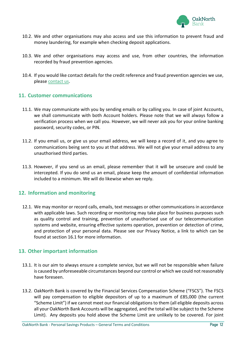

- 10.2. We and other organisations may also access and use this information to prevent fraud and money laundering, for example when checking deposit applications.
- 10.3. We and other organisations may access and use, from other countries, the information recorded by fraud prevention agencies.
- 10.4. If you would like contact details for the credit reference and fraud prevention agencies we use, please [contact us.](https://www.oaknorth.co.uk/resources/get-in-touch/)

#### <span id="page-10-0"></span>**11. Customer communications**

- 11.1. We may communicate with you by sending emails or by calling you. In case of joint Accounts, we shall communicate with both Account holders. Please note that we will always follow a verification process when we call you. However, we will never ask you for your online banking password, security codes, or PIN.
- 11.2. If you email us, or give us your email address, we will keep a record of it, and you agree to communications being sent to you at that address. We will not give your email address to any unauthorised third parties.
- 11.3. However, if you send us an email, please remember that it will be unsecure and could be intercepted. If you do send us an email, please keep the amount of confidential information included to a minimum. We will do likewise when we reply.

#### <span id="page-10-1"></span>**12. Information and monitoring**

12.1. We may monitor or record calls, emails, text messages or other communications in accordance with applicable laws. Such recording or monitoring may take place for business purposes such as quality control and training, prevention of unauthorised use of our telecommunication systems and website, ensuring effective systems operation, prevention or detection of crime, and protection of your personal data. Please see our Privacy Notice, a link to which can be found at section 16.1 for more information.

#### <span id="page-10-2"></span>**13. Other important information**

- 13.1. It is our aim to always ensure a complete service, but we will not be responsible when failure is caused by unforeseeable circumstances beyond our control or which we could not reasonably have foreseen.
- 13.2. OakNorth Bank is covered by the Financial Services Compensation Scheme ("FSCS"). The FSCS will pay compensation to eligible depositors of up to a maximum of £85,000 (the current "Scheme Limit") if we cannot meet our financial obligations to them (all eligible deposits across all your OakNorth Bank Accounts will be aggregated, and the total will be subject to the Scheme Limit). Any deposits you hold above the Scheme Limit are unlikely to be covered. For joint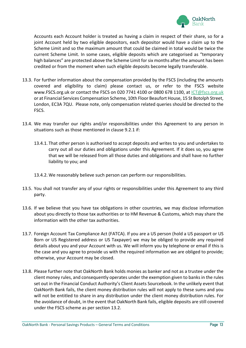

Accounts each Account holder is treated as having a claim in respect of their share, so for a joint Account held by two eligible depositors, each depositor would have a claim up to the Scheme Limit and so the maximum amount that could be claimed in total would be twice the current Scheme Limit. In some cases, eligible deposits which are categorised as "temporary high balances" are protected above the Scheme Limit for six months after the amount has been credited or from the moment when such eligible deposits become legally transferable.

- 13.3. For further information about the compensation provided by the FSCS (including the amounts covered and eligibility to claim) please contact us, or refer to the FSCS website www.FSCS.org.uk or contact the FSCS on 020 7741 4100 or 0800 678 1100, at [ICT@fscs.org.uk](mailto:ICT@fscs.org.uk) or at Financial Services Compensation Scheme, 10th Floor Beaufort House, 15 St Botolph Street, London, EC3A 7QU. Please note, only compensation related queries should be directed to the FSCS.
- 13.4. We may transfer our rights and/or responsibilities under this Agreement to any person in situations such as those mentioned in clause 9.2.1 if:
	- 13.4.1. That other person is authorised to accept deposits and writes to you and undertakes to carry out all our duties and obligations under this Agreement. If it does so, you agree that we will be released from all those duties and obligations and shall have no further liability to you; and
	- 13.4.2. We reasonably believe such person can perform our responsibilities.
- 13.5. You shall not transfer any of your rights or responsibilities under this Agreement to any third party.
- 13.6. If we believe that you have tax obligations in other countries, we may disclose information about you directly to those tax authorities or to HM Revenue & Customs, which may share the information with the other tax authorities.
- 13.7. Foreign Account Tax Compliance Act (FATCA). If you are a US person (hold a US passport or US Born or US Registered address or US Taxpayer) we may be obliged to provide any required details about you and your Account with us. We will inform you by telephone or email if this is the case and you agree to provide us with the required information we are obliged to provide; otherwise, your Account may be closed.
- 13.8. Please further note that OakNorth Bank holds monies as banker and not as a trustee under the client money rules, and consequently operates under the exemption given to banks in the rules set out in the Financial Conduct Authority's Client Assets Sourcebook. In the unlikely event that OakNorth Bank fails, the client money distribution rules will not apply to these sums and you will not be entitled to share in any distribution under the client money distribution rules. For the avoidance of doubt, in the event that OakNorth Bank fails, eligible deposits are still covered under the FSCS scheme as per section 13.2.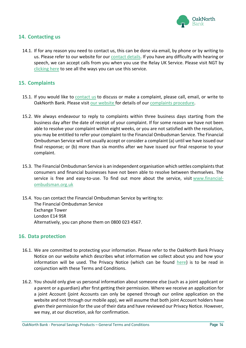

#### <span id="page-12-0"></span>**14. Contacting us**

14.1. If for any reason you need to contact us, this can be done via email, by phone or by writing to us. Please refer to our website for our [contact details.](https://www.oaknorth.co.uk/resources/get-in-touch/) If you have any difficulty with hearing or speech, we can accept calls from you when you use the Relay UK Service. Please visit NGT by [clicking here](http://ngts.org.uk/) to see all the ways you can use this service.

#### <span id="page-12-1"></span>**15. Complaints**

- 15.1. If you would like to [contact us](https://www.oaknorth.co.uk/resources/get-in-touch/) to discuss or make a complaint, please call, email, or write to OakNorth Bank. Please visit [our](https://www.oaknorth.co.uk/complaints/) [website](https://www.oaknorth.co.uk/complaints/) for details of our [complaints procedure.](https://www.oaknorth.co.uk/complaints/)
- 15.2. We always endeavour to reply to complaints within three business days starting from the business day after the date of receipt of your complaint. If for some reason we have not been able to resolve your complaint within eight weeks, or you are not satisfied with the resolution, you may be entitled to refer your complaint to the Financial Ombudsman Service. The Financial Ombudsman Service will not usually accept or consider a complaint (a) until we have issued our final response; or (b) more than six months after we have issued our final response to your complaint.
- 15.3. The Financial Ombudsman Service is an independent organisation which settles complaints that consumers and financial businesses have not been able to resolve between themselves. The service is free and easy-to-use. To find out more about the service, visit [www.financial](http://www.financial-ombudsman.org.uk/)[ombudsman.org.uk](http://www.financial-ombudsman.org.uk/)
- 15.4. You can contact the Financial Ombudsman Service by writing to: The Financial Ombudsman Service Exchange Tower London E14 9SR Alternatively, you can phone them on 0800 023 4567.

#### <span id="page-12-2"></span>**16. Data protection**

- 16.1. We are committed to protecting your information. Please refer to the OakNorth Bank Privacy Notice on our website which describes what information we collect about you and how your information will be used. The Privacy Notice (which can be found  $here$ ) is to be read in conjunction with these Terms and Conditions.
- 16.2. You should only give us personal information about someone else (such as a joint applicant or a parent or a guardian) after first getting their permission. Where we receive an application for a joint Account (joint Accounts can only be opened through our online application on the website and not through our mobile app), we will assume that both joint Account holders have given their permission for the use of their data and have reviewed our Privacy Notice. However, we may, at our discretion, ask for confirmation.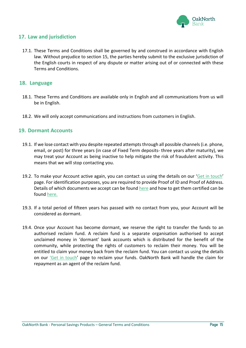

#### <span id="page-13-0"></span>**17. Law and jurisdiction**

17.1. These Terms and Conditions shall be governed by and construed in accordance with English law. Without prejudice to section 15, the parties hereby submit to the exclusive jurisdiction of the English courts in respect of any dispute or matter arising out of or connected with these Terms and Conditions.

#### <span id="page-13-1"></span>**18. Language**

- 18.1. These Terms and Conditions are available only in English and all communications from us will be in English.
- 18.2. We will only accept communications and instructions from customers in English.

#### <span id="page-13-2"></span>**19. Dormant Accounts**

- 19.1. If we lose contact with you despite repeated attempts through all possible channels (i.e. phone, email, or post) for three years (in case of Fixed Term deposits- three years after maturity), we may treat your Account as being inactive to help mitigate the risk of fraudulent activity. This means that we will stop contacting you.
- 19.2. To make your Account active again, you can contact us using the details on our '[Get in touch](https://www.oaknorth.co.uk/resources/get-in-touch/)' page. For identification purposes, you are required to provide Proof of ID and Proof of Address. Details of which documents we accept can be found [here](https://www.oaknorth.co.uk/identification-requirements/) and how to get them certified can be found [here.](https://www.oaknorth.co.uk/certifying-documents/)
- 19.3. If a total period of fifteen years has passed with no contact from you, your Account will be considered as dormant.
- 19.4. Once your Account has become dormant, we reserve the right to transfer the funds to an authorised reclaim fund. A reclaim fund is a separate organisation authorised to accept unclaimed money in 'dormant' bank accounts which is distributed for the benefit of the community, while protecting the rights of customers to reclaim their money. You will be entitled to claim your money back from the reclaim fund. You can contact us using the details on our ['Get in touch'](https://www.oaknorth.co.uk/resources/get-in-touch/) page to reclaim your funds. OakNorth Bank will handle the claim for repayment as an agent of the reclaim fund.